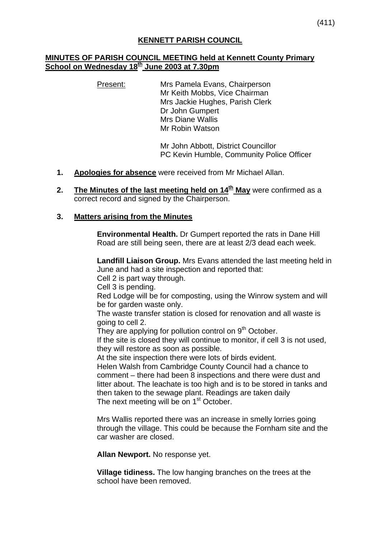### **KENNETT PARISH COUNCIL**

### **MINUTES OF PARISH COUNCIL MEETING held at Kennett County Primary School on Wednesday 18th June 2003 at 7.30pm**

Present: Mrs Pamela Evans, Chairperson Mr Keith Mobbs, Vice Chairman Mrs Jackie Hughes, Parish Clerk Dr John Gumpert Mrs Diane Wallis Mr Robin Watson

> Mr John Abbott, District Councillor PC Kevin Humble, Community Police Officer

- **1. Apologies for absence** were received from Mr Michael Allan.
- **2.** The Minutes of the last meeting held on 14<sup>th</sup> May were confirmed as a correct record and signed by the Chairperson.

#### **3. Matters arising from the Minutes**

**Environmental Health.** Dr Gumpert reported the rats in Dane Hill Road are still being seen, there are at least 2/3 dead each week.

**Landfill Liaison Group.** Mrs Evans attended the last meeting held in June and had a site inspection and reported that:

Cell 2 is part way through.

Cell 3 is pending.

Red Lodge will be for composting, using the Winrow system and will be for garden waste only.

The waste transfer station is closed for renovation and all waste is going to cell 2.

They are applying for pollution control on  $9<sup>th</sup>$  October.

If the site is closed they will continue to monitor, if cell 3 is not used, they will restore as soon as possible.

At the site inspection there were lots of birds evident.

Helen Walsh from Cambridge County Council had a chance to comment – there had been 8 inspections and there were dust and litter about. The leachate is too high and is to be stored in tanks and then taken to the sewage plant. Readings are taken daily The next meeting will be on 1<sup>st</sup> October.

Mrs Wallis reported there was an increase in smelly lorries going through the village. This could be because the Fornham site and the car washer are closed.

**Allan Newport.** No response yet.

**Village tidiness.** The low hanging branches on the trees at the school have been removed.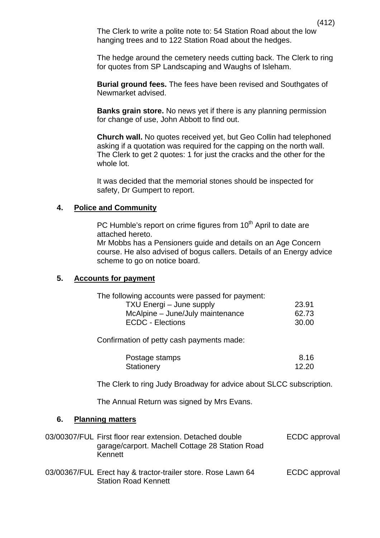The Clerk to write a polite note to: 54 Station Road about the low hanging trees and to 122 Station Road about the hedges.

The hedge around the cemetery needs cutting back. The Clerk to ring for quotes from SP Landscaping and Waughs of Isleham.

**Burial ground fees.** The fees have been revised and Southgates of Newmarket advised.

**Banks grain store.** No news yet if there is any planning permission for change of use, John Abbott to find out.

**Church wall.** No quotes received yet, but Geo Collin had telephoned asking if a quotation was required for the capping on the north wall. The Clerk to get 2 quotes: 1 for just the cracks and the other for the whole lot.

It was decided that the memorial stones should be inspected for safety, Dr Gumpert to report.

#### **4. Police and Community**

PC Humble's report on crime figures from 10<sup>th</sup> April to date are attached hereto.

Mr Mobbs has a Pensioners guide and details on an Age Concern course. He also advised of bogus callers. Details of an Energy advice scheme to go on notice board.

#### **5. Accounts for payment**

| The following accounts were passed for payment: |       |
|-------------------------------------------------|-------|
| TXU Energi – June supply                        | 23.91 |
| McAlpine – June/July maintenance                | 62.73 |
| <b>ECDC - Elections</b>                         | 30.00 |

Confirmation of petty cash payments made:

| Postage stamps | 8.16  |
|----------------|-------|
| Stationery     | 12.20 |

The Clerk to ring Judy Broadway for advice about SLCC subscription.

The Annual Return was signed by Mrs Evans.

#### **6. Planning matters**

| 03/00307/FUL First floor rear extension. Detached double<br>garage/carport. Machell Cottage 28 Station Road<br>Kennett | ECDC approval |
|------------------------------------------------------------------------------------------------------------------------|---------------|
| 03/00367/FUL Erect hay & tractor-trailer store. Rose Lawn 64<br><b>Station Road Kennett</b>                            | ECDC approval |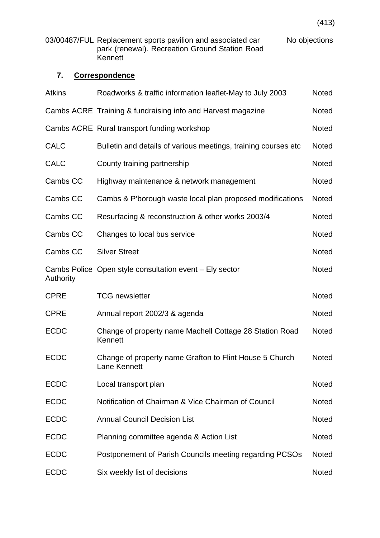03/00487/FUL Replacement sports pavilion and associated car No objections park (renewal). Recreation Ground Station Road Kennett

# **7. Correspondence**

| <b>Atkins</b> | Roadworks & traffic information leaflet-May to July 2003                |              |
|---------------|-------------------------------------------------------------------------|--------------|
|               | Cambs ACRE Training & fundraising info and Harvest magazine             |              |
|               | Cambs ACRE Rural transport funding workshop                             |              |
| <b>CALC</b>   | Bulletin and details of various meetings, training courses etc.         | <b>Noted</b> |
| <b>CALC</b>   | County training partnership                                             | <b>Noted</b> |
| Cambs CC      | Highway maintenance & network management                                | <b>Noted</b> |
| Cambs CC      | Cambs & P'borough waste local plan proposed modifications               | <b>Noted</b> |
| Cambs CC      | Resurfacing & reconstruction & other works 2003/4                       | <b>Noted</b> |
| Cambs CC      | Changes to local bus service                                            | Noted        |
| Cambs CC      | <b>Silver Street</b>                                                    | <b>Noted</b> |
| Authority     | Cambs Police Open style consultation event – Ely sector                 | <b>Noted</b> |
| <b>CPRE</b>   | <b>TCG</b> newsletter                                                   | <b>Noted</b> |
| <b>CPRE</b>   | Annual report 2002/3 & agenda                                           | <b>Noted</b> |
| <b>ECDC</b>   | Change of property name Machell Cottage 28 Station Road<br>Kennett      | <b>Noted</b> |
| <b>ECDC</b>   | Change of property name Grafton to Flint House 5 Church<br>Lane Kennett | <b>Noted</b> |
| <b>ECDC</b>   | Local transport plan                                                    | <b>Noted</b> |
| <b>ECDC</b>   | Notification of Chairman & Vice Chairman of Council                     | Noted        |
| <b>ECDC</b>   | <b>Annual Council Decision List</b>                                     | <b>Noted</b> |
| <b>ECDC</b>   | Planning committee agenda & Action List                                 | Noted        |
| <b>ECDC</b>   | Postponement of Parish Councils meeting regarding PCSOs                 | <b>Noted</b> |
| <b>ECDC</b>   | Six weekly list of decisions                                            | Noted        |